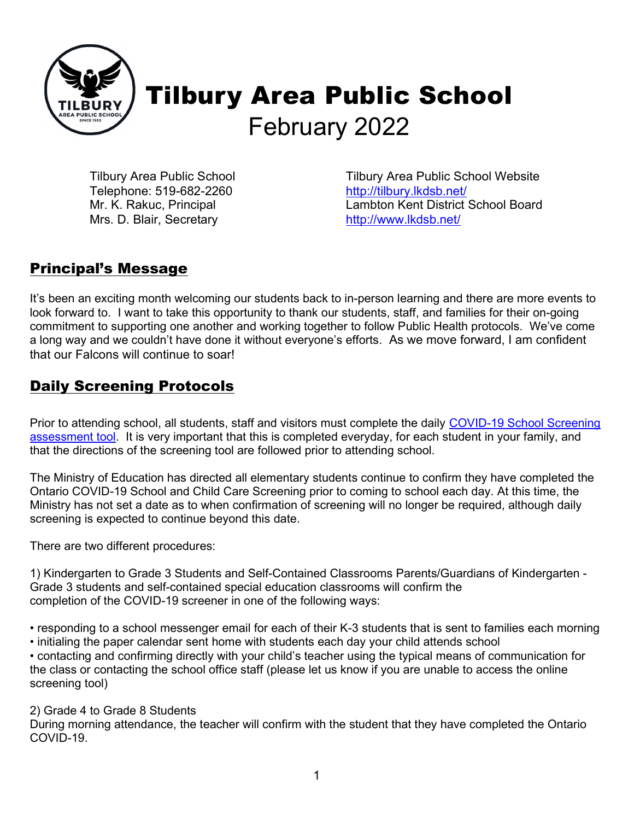

Tilbury Area Public School Telephone: 519-682-2260 Mr. K. Rakuc, Principal Mrs. D. Blair, Secretary

Tilbury Area Public School Website http://tilbury.lkdsb.net/ Lambton Kent District School Board http://www.lkdsb.net/

#### Principal's Message

It's been an exciting month welcoming our students back to in-person learning and there are more events to look forward to. I want to take this opportunity to thank our students, staff, and families for their on-going commitment to supporting one another and working together to follow Public Health protocols. We've come a long way and we couldn't have done it without everyone's efforts. As we move forward, I am confident that our Falcons will continue to soar!

#### Daily Screening Protocols

Prior to attending school, all students, staff and visitors must complete the daily COVID-19 School Screening assessment tool. It is very important that this is completed everyday, for each student in your family, and that the directions of the screening tool are followed prior to attending school.

The Ministry of Education has directed all elementary students continue to confirm they have completed the Ontario COVID-19 School and Child Care Screening prior to coming to school each day. At this time, the Ministry has not set a date as to when confirmation of screening will no longer be required, although daily screening is expected to continue beyond this date.

There are two different procedures:

1) Kindergarten to Grade 3 Students and Self-Contained Classrooms Parents/Guardians of Kindergarten - Grade 3 students and self-contained special education classrooms will confirm the completion of the COVID-19 screener in one of the following ways:

• responding to a school messenger email for each of their K-3 students that is sent to families each morning • initialing the paper calendar sent home with students each day your child attends school

• contacting and confirming directly with your child's teacher using the typical means of communication for the class or contacting the school office staff (please let us know if you are unable to access the online screening tool)

#### 2) Grade 4 to Grade 8 Students

During morning attendance, the teacher will confirm with the student that they have completed the Ontario COVID-19.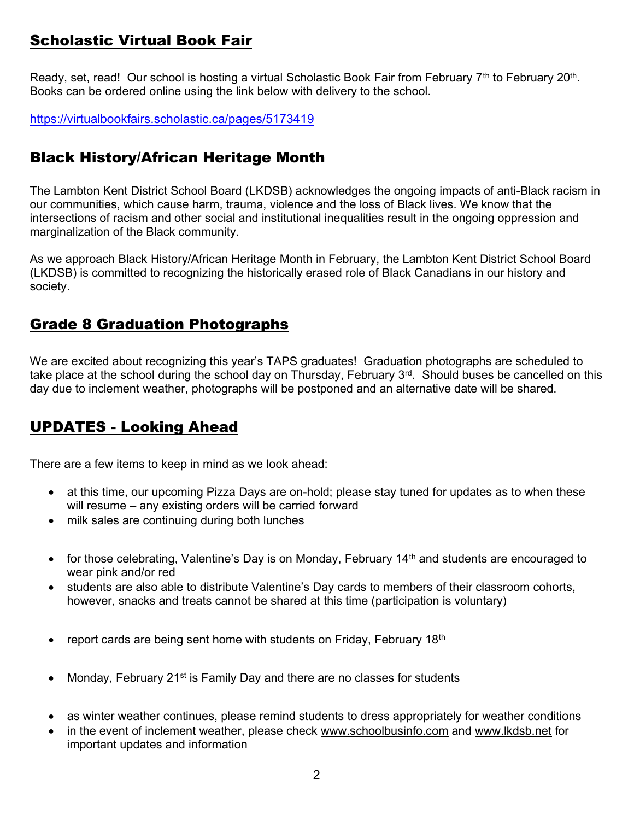# Scholastic Virtual Book Fair

Ready, set, read! Our school is hosting a virtual Scholastic Book Fair from February 7<sup>th</sup> to February 20<sup>th</sup>. Books can be ordered online using the link below with delivery to the school.

https://virtualbookfairs.scholastic.ca/pages/5173419

# Black History/African Heritage Month

The Lambton Kent District School Board (LKDSB) acknowledges the ongoing impacts of anti-Black racism in our communities, which cause harm, trauma, violence and the loss of Black lives. We know that the intersections of racism and other social and institutional inequalities result in the ongoing oppression and marginalization of the Black community.

As we approach Black History/African Heritage Month in February, the Lambton Kent District School Board (LKDSB) is committed to recognizing the historically erased role of Black Canadians in our history and society.

# Grade 8 Graduation Photographs

We are excited about recognizing this year's TAPS graduates! Graduation photographs are scheduled to take place at the school during the school day on Thursday, February 3<sup>rd</sup>. Should buses be cancelled on this day due to inclement weather, photographs will be postponed and an alternative date will be shared.

#### UPDATES - Looking Ahead

There are a few items to keep in mind as we look ahead:

- at this time, our upcoming Pizza Days are on-hold; please stay tuned for updates as to when these will resume – any existing orders will be carried forward
- milk sales are continuing during both lunches
- $\bullet$  for those celebrating, Valentine's Day is on Monday, February 14<sup>th</sup> and students are encouraged to wear pink and/or red
- students are also able to distribute Valentine's Day cards to members of their classroom cohorts, however, snacks and treats cannot be shared at this time (participation is voluntary)
- **•** report cards are being sent home with students on Friday, February 18<sup>th</sup>
- Monday, February 21<sup>st</sup> is Family Day and there are no classes for students
- as winter weather continues, please remind students to dress appropriately for weather conditions
- in the event of inclement weather, please check www.schoolbusinfo.com and www.lkdsb.net for important updates and information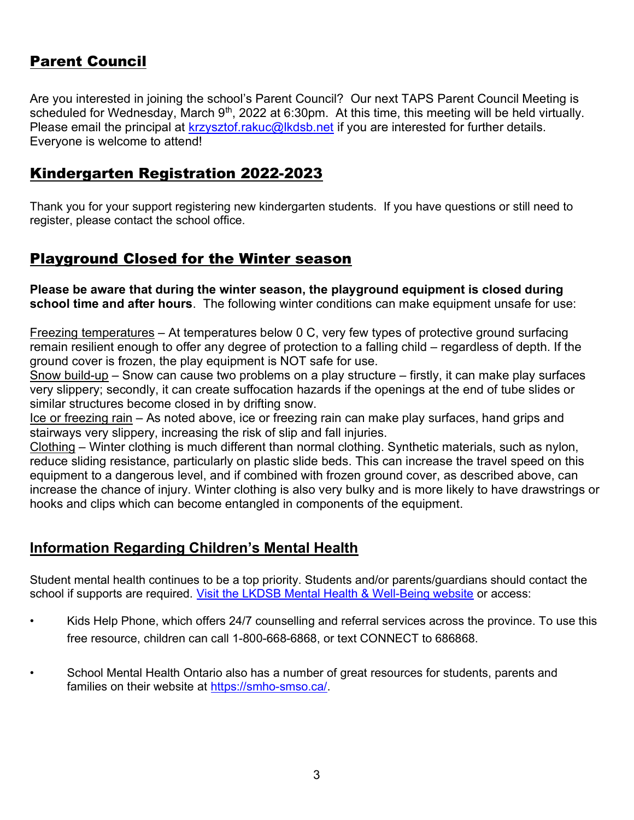# Parent Council

Are you interested in joining the school's Parent Council? Our next TAPS Parent Council Meeting is scheduled for Wednesday, March  $9<sup>th</sup>$ , 2022 at 6:30pm. At this time, this meeting will be held virtually. Please email the principal at krzysztof.rakuc@lkdsb.net if you are interested for further details. Everyone is welcome to attend!

#### Kindergarten Registration 2022-2023

Thank you for your support registering new kindergarten students. If you have questions or still need to register, please contact the school office.

#### Playground Closed for the Winter season

Please be aware that during the winter season, the playground equipment is closed during school time and after hours. The following winter conditions can make equipment unsafe for use:

Freezing temperatures – At temperatures below 0 C, very few types of protective ground surfacing remain resilient enough to offer any degree of protection to a falling child – regardless of depth. If the ground cover is frozen, the play equipment is NOT safe for use.

Snow build-up – Snow can cause two problems on a play structure – firstly, it can make play surfaces very slippery; secondly, it can create suffocation hazards if the openings at the end of tube slides or similar structures become closed in by drifting snow.

Ice or freezing rain – As noted above, ice or freezing rain can make play surfaces, hand grips and stairways very slippery, increasing the risk of slip and fall injuries.

Clothing – Winter clothing is much different than normal clothing. Synthetic materials, such as nylon, reduce sliding resistance, particularly on plastic slide beds. This can increase the travel speed on this equipment to a dangerous level, and if combined with frozen ground cover, as described above, can increase the chance of injury. Winter clothing is also very bulky and is more likely to have drawstrings or hooks and clips which can become entangled in components of the equipment.

#### Information Regarding Children's Mental Health

Student mental health continues to be a top priority. Students and/or parents/guardians should contact the school if supports are required. Visit the LKDSB Mental Health & Well-Being website or access:

- Kids Help Phone, which offers 24/7 counselling and referral services across the province. To use this free resource, children can call 1-800-668-6868, or text CONNECT to 686868.
- School Mental Health Ontario also has a number of great resources for students, parents and families on their website at https://smho-smso.ca/.